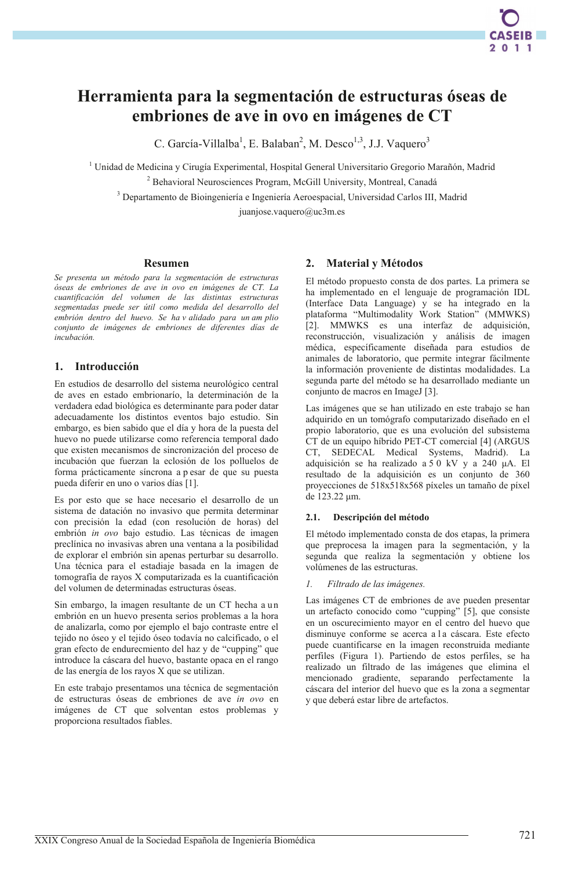# Herramienta para la segmentación de estructuras óseas de embriones de ave in ovo en imágenes de CT

C. García-Villalba<sup>1</sup>, E. Balaban<sup>2</sup>, M. Desco<sup>1,3</sup>, J.J. Vaquero<sup>3</sup>

<sup>1</sup> Unidad de Medicina y Cirugía Experimental, Hospital General Universitario Gregorio Marañón, Madrid <sup>2</sup> Behavioral Neurosciences Program, McGill University, Montreal, Canadá

<sup>3</sup> Departamento de Bioingeniería e Ingeniería Aeroespacial, Universidad Carlos III, Madrid

juanjose.vaquero@uc3m.es

### **Resumen**

Se presenta un método para la segmentación de estructuras óseas de embriones de ave in ovo en imágenes de CT. La cuantificación del volumen de las distintas estructuras segmentadas puede ser útil como medida del desarrollo del embrión dentro del huevo. Se ha v alidado para un am plio conjunto de imágenes de embriones de diferentes días de  $incubación$ .

### 1. Introducción

En estudios de desarrollo del sistema neurológico central de aves en estado embrionarío, la determinación de la verdadera edad biológica es determinante para poder datar adecuadamente los distintos eventos bajo estudio. Sin embargo, es bien sabido que el día y hora de la puesta del huevo no puede utilizarse como referencia temporal dado que existen mecanismos de sincronización del proceso de incubación que fuerzan la eclosión de los polluelos de forma prácticamente síncrona a p esar de que su puesta pueda diferir en uno o varios días [1].

Es por esto que se hace necesario el desarrollo de un sistema de datación no invasivo que permita determinar con precisión la edad (con resolución de horas) del embrión in ovo bajo estudio. Las técnicas de imagen preclínica no invasivas abren una ventana a la posibilidad de explorar el embrión sin apenas perturbar su desarrollo. Una técnica para el estadiaje basada en la imagen de tomografía de rayos X computarizada es la cuantificación del volumen de determinadas estructuras óseas.

Sin embargo, la imagen resultante de un CT hecha a un embrión en un huevo presenta serios problemas a la hora de analizarla, como por ejemplo el bajo contraste entre el tejido no óseo y el tejido óseo todavía no calcificado, o el gran efecto de endurecmiento del haz y de "cupping" que introduce la cáscara del huevo, bastante opaca en el rango de las energía de los rayos X que se utilizan.

En este trabajo presentamos una técnica de segmentación de estructuras óseas de embriones de ave in ovo en imágenes de CT que solventan estos problemas y proporciona resultados fiables.

### **Material y Métodos**  $2.$

El método propuesto consta de dos partes. La primera se ha implementado en el lenguaje de programación IDL (Interface Data Language) y se ha integrado en la plataforma "Multimodality Work Station" (MMWKS) [2]. MMWKS es una interfaz de adquisición, reconstrucción, visualización y análisis de imagen médica, específicamente diseñada para estudios de animales de laboratorio, que permite integrar fácilmente la información proveniente de distintas modalidades. La segunda parte del método se ha desarrollado mediante un conjunto de macros en ImageJ [3].

Las imágenes que se han utilizado en este trabajo se han adquirido en un tomógrafo computarizado diseñado en el propio laboratorio, que es una evolución del subsistema CT de un equipo híbrido PET-CT comercial [4] (ARGUS CT, SEDECAL Medical Systems, Madrid). La adquisición se ha realizado a 5 0 kV y a 240 µA. El resultado de la adquisición es un conjunto de 360 proyecciones de 518x518x568 píxeles un tamaño de píxel de 123.22 µm.

### Descripción del método  $2.1.$

El método implementado consta de dos etapas, la primera que preprocesa la imagen para la segmentación, y la segunda que realiza la segmentación y obtiene los volúmenes de las estructuras.

### Filtrado de las imágenes.  $\mathcal{I}$

Las imágenes CT de embriones de ave pueden presentar un artefacto conocido como "cupping" [5], que consiste en un oscurecimiento mayor en el centro del huevo que disminuye conforme se acerca a la cáscara. Este efecto puede cuantificarse en la imagen reconstruida mediante perfiles (Figura 1). Partiendo de estos perfiles, se ha realizado un filtrado de las imágenes que elimina el mencionado gradiente, separando perfectamente la cáscara del interior del huevo que es la zona a segmentar y que deberá estar libre de artefactos.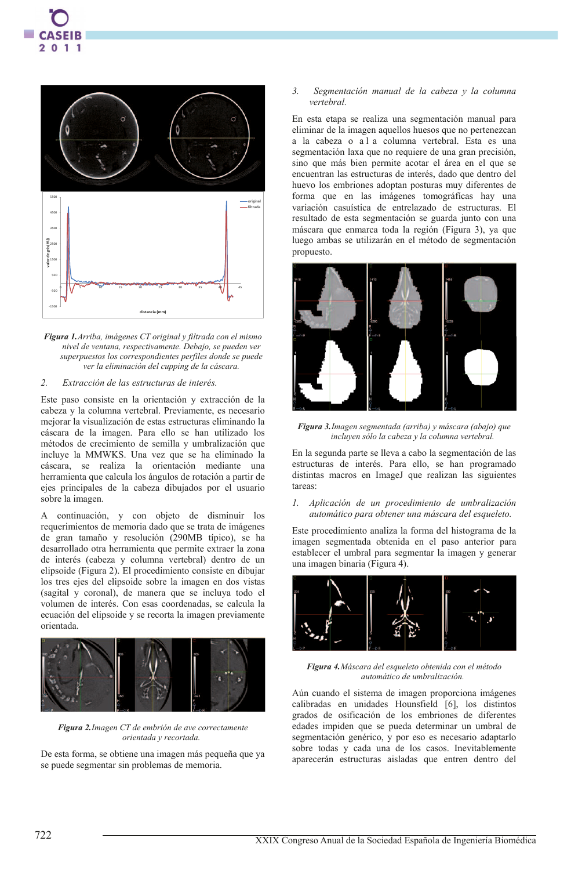

Figura 1. Arriba, imágenes CT original y filtrada con el mismo nivel de ventana, respectivamente. Debajo, se pueden ver superpuestos los correspondientes perfiles donde se puede ver la eliminación del cupping de la cáscara.

#### $\overline{2}$ Extracción de las estructuras de interés.

Este paso consiste en la orientación y extracción de la cabeza y la columna vertebral. Previamente, es necesario mejorar la visualización de estas estructuras eliminando la cáscara de la imagen. Para ello se han utilizado los métodos de crecimiento de semilla y umbralización que incluye la MMWKS. Una vez que se ha eliminado la cáscara, se realiza la orientación mediante una herramienta que calcula los ángulos de rotación a partir de ejes principales de la cabeza dibujados por el usuario sobre la imagen.

A continuación, y con objeto de disminuir los requerimientos de memoria dado que se trata de imágenes de gran tamaño y resolución (290MB típico), se ha desarrollado otra herramienta que permite extraer la zona de interés (cabeza y columna vertebral) dentro de un elipsoide (Figura 2). El procedimiento consiste en dibujar los tres ejes del elipsoide sobre la imagen en dos vistas (sagital y coronal), de manera que se incluya todo el volumen de interés. Con esas coordenadas, se calcula la ecuación del elipsoide y se recorta la imagen previamente orientada.



Figura 2. Imagen CT de embrión de ave correctamente orientada y recortada.

De esta forma, se obtiene una imagen más pequeña que ya se puede segmentar sin problemas de memoria.

### Segmentación manual de la cabeza y la columna  $\overline{3}$ vertebral

En esta etapa se realiza una segmentación manual para eliminar de la imagen aquellos huesos que no pertenezcan a la cabeza o al a columna vertebral. Esta es una segmentación laxa que no requiere de una gran precisión, sino que más bien permite acotar el área en el que se encuentran las estructuras de interés, dado que dentro del huevo los embriones adoptan posturas muy diferentes de forma que en las imágenes tomográficas hay una variación casuística de entrelazado de estructuras. El resultado de esta segmentación se guarda junto con una máscara que enmarca toda la región (Figura 3), ya que luego ambas se utilizarán en el método de segmentación propuesto.



Figura 3. Imagen segmentada (arriba) y máscara (abajo) que incluyen sólo la cabeza y la columna vertebral.

En la segunda parte se lleva a cabo la segmentación de las estructuras de interés. Para ello, se han programado distintas macros en ImageJ que realizan las siguientes tareas<sup>-</sup>

### 1. Aplicación de un procedimiento de umbralización automático para obtener una máscara del esqueleto.

Este procedimiento analiza la forma del histograma de la imagen segmentada obtenida en el paso anterior para establecer el umbral para segmentar la imagen y generar una imagen binaria (Figura 4).



Figura 4. Máscara del esqueleto obtenida con el método automático de umbralización.

Aún cuando el sistema de imagen proporciona imágenes calibradas en unidades Hounsfield [6], los distintos grados de osificación de los embriones de diferentes edades impiden que se pueda determinar un umbral de segmentación genérico, y por eso es necesario adaptarlo sobre todas y cada una de los casos. Inevitablemente aparecerán estructuras aisladas que entren dentro del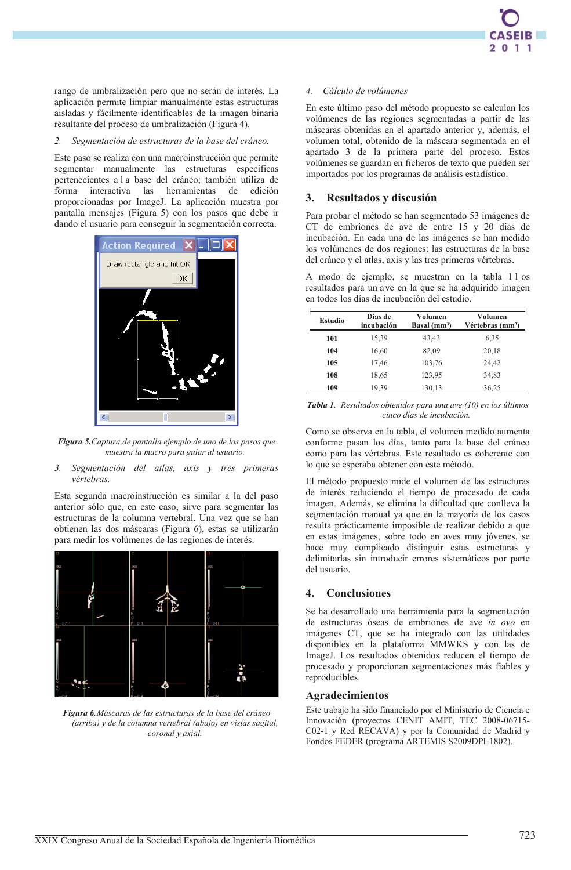rango de umbralización pero que no serán de interés. La aplicación permite limpiar manualmente estas estructuras aisladas y fácilmente identificables de la imagen binaria resultante del proceso de umbralización (Figura 4).

#### $\overline{2}$ Segmentación de estructuras de la base del cráneo.

Este paso se realiza con una macroinstrucción que permite segmentar manualmente las estructuras específicas pertenecientes a l a base del cráneo; también utiliza de interactiva las herramientas de edición forma proporcionadas por ImageJ. La aplicación muestra por pantalla mensajes (Figura 5) con los pasos que debe ir dando el usuario para conseguir la segmentación correcta.



Figura 5. Captura de pantalla ejemplo de uno de los pasos que muestra la macro para guiar al usuario.

### Segmentación del atlas, axis y tres primeras  $3.$ vértebras

Esta segunda macroinstrucción es similar a la del paso anterior sólo que, en este caso, sirve para segmentar las estructuras de la columna vertebral. Una vez que se han obtienen las dos máscaras (Figura 6), estas se utilizarán para medir los volúmenes de las regiones de interés.



Figura 6. Máscaras de las estructuras de la base del cráneo (arriba) y de la columna vertebral (abajo) en vistas sagital, coronal y axial.

### 4. Cálculo de volúmenes

En este último paso del método propuesto se calculan los volúmenes de las regiones segmentadas a partir de las máscaras obtenidas en el apartado anterior y, además, el volumen total, obtenido de la máscara segmentada en el apartado 3 de la primera parte del proceso. Estos volúmenes se guardan en ficheros de texto que pueden ser importados por los programas de análisis estadístico.

### 3. Resultados y discusión

Para probar el método se han segmentado 53 imágenes de CT de embriones de ave de entre 15 y 20 días de incubación. En cada una de las imágenes se han medido los volúmenes de dos regiones: las estructuras de la base del cráneo y el atlas, axis y las tres primeras vértebras.

A modo de ejemplo, se muestran en la tabla 11 os resultados para un ave en la que se ha adquirido imagen en todos los días de incubación del estudio.

| Estudio | Días de<br>incubación | Volumen<br>Basal (mm <sup>3</sup> ) | Volumen<br>Vértebras (mm <sup>3</sup> ) |
|---------|-----------------------|-------------------------------------|-----------------------------------------|
| 101     | 15,39                 | 43,43                               | 6,35                                    |
| 104     | 16,60                 | 82,09                               | 20,18                                   |
| 105     | 17,46                 | 103,76                              | 24,42                                   |
| 108     | 18,65                 | 123,95                              | 34,83                                   |
| 109     | 19,39                 | 130,13                              | 36,25                                   |

Tabla 1. Resultados obtenidos para una ave (10) en los últimos cinco días de incubación.

Como se observa en la tabla, el volumen medido aumenta conforme pasan los días, tanto para la base del cráneo como para las vértebras. Este resultado es coherente con lo que se esperaba obtener con este método.

El método propuesto mide el volumen de las estructuras de interés reduciendo el tiempo de procesado de cada imagen. Además, se elimina la dificultad que conlleva la segmentación manual ya que en la mayoría de los casos resulta prácticamente imposible de realizar debido a que en estas imágenes, sobre todo en aves muy jóvenes, se hace muy complicado distinguir estas estructuras y delimitarlas sin introducir errores sistemáticos por parte del usuario

### **Conclusiones**  $\blacktriangle$ .

Se ha desarrollado una herramienta para la segmentación de estructuras óseas de embriones de ave in ovo en imágenes CT, que se ha integrado con las utilidades disponibles en la plataforma MMWKS y con las de ImageJ. Los resultados obtenidos reducen el tiempo de procesado y proporcionan segmentaciones más fiables y reproducibles.

## **Agradecimientos**

Este trabajo ha sido financiado por el Ministerio de Ciencia e Innovación (proyectos CENIT AMIT, TEC 2008-06715-C02-1 y Red RECAVA) y por la Comunidad de Madrid y Fondos FEDER (programa ARTEMIS S2009DPI-1802).